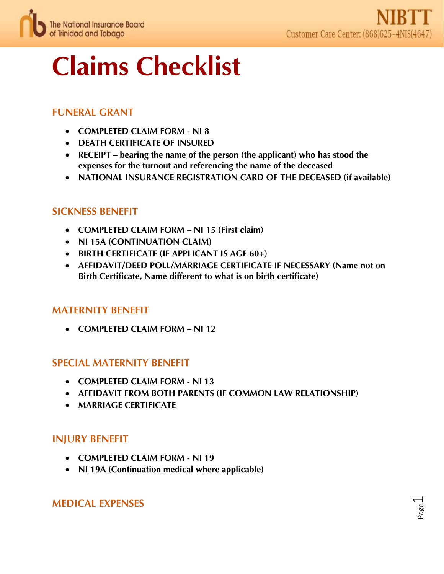

# Claims Checklist

# FUNERAL GRANT

- COMPLETED CLAIM FORM NI 8
- DEATH CERTIFICATE OF INSURED
- RECEIPT bearing the name of the person (the applicant) who has stood the expenses for the turnout and referencing the name of the deceased
- NATIONAL INSURANCE REGISTRATION CARD OF THE DECEASED (if available)

## SICKNESS BENEFIT

- COMPLETED CLAIM FORM NI 15 (First claim)
- NI 15A (CONTINUATION CLAIM)
- BIRTH CERTIFICATE (IF APPLICANT IS AGE 60+)
- AFFIDAVIT/DEED POLL/MARRIAGE CERTIFICATE IF NECESSARY (Name not on Birth Certificate, Name different to what is on birth certificate)

## MATERNITY BENEFIT

• COMPLETED CLAIM FORM – NL12

## SPECIAL MATERNITY BENEFIT

- COMPLETED CLAIM FORM NI 13
- AFFIDAVIT FROM BOTH PARENTS (IF COMMON LAW RELATIONSHIP)
- MARRIAGE CERTIFICATE

# INJURY BENEFIT

- COMPLETED CLAIM FORM NI 19
- NI 19A (Continuation medical where applicable)

## MEDICAL EXPENSES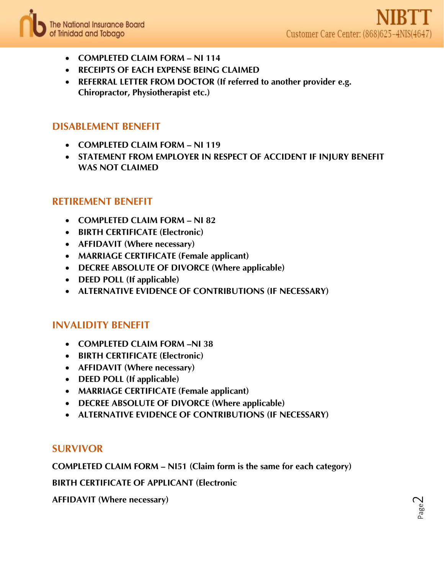

- COMPLETED CLAIM FORM NI 114
- RECEIPTS OF EACH EXPENSE BEING CLAIMED
- REFERRAL LETTER FROM DOCTOR (If referred to another provider e.g. Chiropractor, Physiotherapist etc.)

## DISABLEMENT BENEFIT

- COMPLETED CLAIM FORM NI 119
- STATEMENT FROM EMPLOYER IN RESPECT OF ACCIDENT IF INJURY BENEFIT WAS NOT CLAIMED

## RETIREMENT BENEFIT

- COMPLETED CLAIM FORM NI 82
- BIRTH CERTIFICATE (Electronic)
- AFFIDAVIT (Where necessary)
- MARRIAGE CERTIFICATE (Female applicant)
- DECREE ABSOLUTE OF DIVORCE (Where applicable)
- DEED POLL (If applicable)
- ALTERNATIVE EVIDENCE OF CONTRIBUTIONS (IF NECESSARY)

## INVALIDITY BENEFIT

- COMPLETED CLAIM FORM –NI 38
- BIRTH CERTIFICATE (Electronic)
- AFFIDAVIT (Where necessary)
- DEED POLL (If applicable)
- MARRIAGE CERTIFICATE (Female applicant)
- DECREE ABSOLUTE OF DIVORCE (Where applicable)
- ALTERNATIVE EVIDENCE OF CONTRIBUTIONS (IF NECESSARY)

#### SURVIVOR

COMPLETED CLAIM FORM – NI51 (Claim form is the same for each category)

BIRTH CERTIFICATE OF APPLICANT (Electronic

AFFIDAVIT (Where necessary)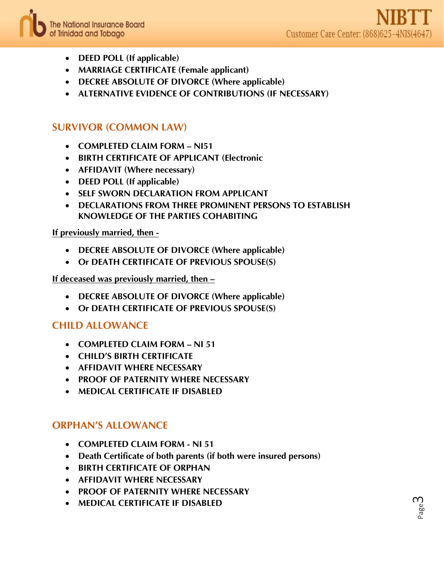

- DEED POLL (If applicable)
- MARRIAGE CERTIFICATE (Female applicant)
- DECREE ABSOLUTE OF DIVORCE (Where applicable)
- ALTERNATIVE EVIDENCE OF CONTRIBUTIONS (IF NECESSARY)

## SURVIVOR (COMMON LAW)

- COMPLETED CLAIM FORM NI51
- BIRTH CERTIFICATE OF APPLICANT (Electronic
- AFFIDAVIT (Where necessary)
- DEED POLL (If applicable)
- SELF SWORN DECLARATION FROM APPLICANT
- DECLARATIONS FROM THREE PROMINENT PERSONS TO ESTABLISH KNOWLEDGE OF THE PARTIES COHABITING

#### If previously married, then -

- DECREE ABSOLUTE OF DIVORCE (Where applicable)
- Or DEATH CERTIFICATE OF PREVIOUS SPOUSE(S)

#### If deceased was previously married, then –

- DECREE ABSOLUTE OF DIVORCE (Where applicable)
- Or DEATH CERTIFICATE OF PREVIOUS SPOUSE(S)

## CHILD ALLOWANCE

- COMPLETED CLAIM FORM NI 51
- CHILD'S BIRTH CERTIFICATE
- AFFIDAVIT WHERE NECESSARY
- PROOF OF PATERNITY WHERE NECESSARY
- MEDICAL CERTIFICATE IF DISABLED

#### ORPHAN'S ALLOWANCE

- COMPLETED CLAIM FORM NI 51
- Death Certificate of both parents (if both were insured persons)
- BIRTH CERTIFICATE OF ORPHAN
- AFFIDAVIT WHERE NECESSARY
- PROOF OF PATERNITY WHERE NECESSARY
- MEDICAL CERTIFICATE IF DISABLED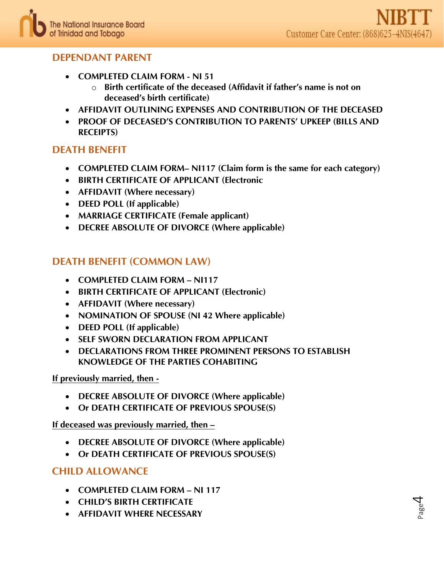# DEPENDANT PARENT

- COMPLETED CLAIM FORM NI 51
	- o Birth certificate of the deceased (Affidavit if father's name is not on deceased's birth certificate)
- AFFIDAVIT OUTLINING EXPENSES AND CONTRIBUTION OF THE DECEASED
- PROOF OF DECEASED'S CONTRIBUTION TO PARENTS' UPKEEP (BILLS AND RECEIPTS)

# DEATH BENEFIT

- COMPLETED CLAIM FORM- NI117 (Claim form is the same for each category)
- BIRTH CERTIFICATE OF APPLICANT (Electronic
- AFFIDAVIT (Where necessary)
- DEED POLL (If applicable)
- MARRIAGE CERTIFICATE (Female applicant)
- DECREE ABSOLUTE OF DIVORCE (Where applicable)

## DEATH BENEFIT (COMMON LAW)

- COMPLETED CLAIM FORM NI117
- BIRTH CERTIFICATE OF APPLICANT (Electronic)
- AFFIDAVIT (Where necessary)
- NOMINATION OF SPOUSE (NI 42 Where applicable)
- DEED POLL (If applicable)
- SELF SWORN DECLARATION FROM APPLICANT
- DECLARATIONS FROM THREE PROMINENT PERSONS TO ESTABLISH KNOWLEDGE OF THE PARTIES COHABITING

If previously married, then -

- DECREE ABSOLUTE OF DIVORCE (Where applicable)
- Or DEATH CERTIFICATE OF PREVIOUS SPOUSE(S)

If deceased was previously married, then –

- DECREE ABSOLUTE OF DIVORCE (Where applicable)
- Or DEATH CERTIFICATE OF PREVIOUS SPOUSE(S)

# CHILD ALLOWANCE

- COMPLETED CLAIM FORM NI 117
- CHILD'S BIRTH CERTIFICATE
- AFFIDAVIT WHERE NECESSARY